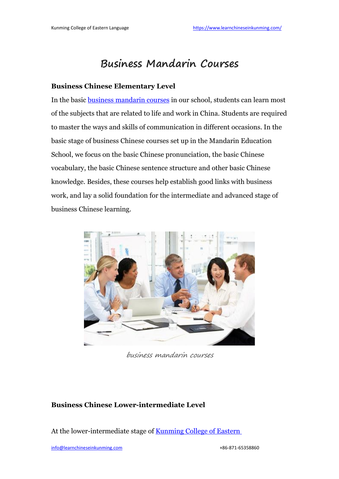# **Business Mandarin Courses**

#### **Business Chinese Elementary Level**

In the basic business [mandarin](https://www.learnchineseinkunming.com/business-chinese-course.html) courses in our school, students can learn most of the subjects that are related to life and work in China. Students are required to master the ways and skills of communication in different occasions. In the basic stage of business Chinese courses set up in the Mandarin Education School, we focus on the basic Chinese pronunciation, the basic Chinese vocabulary, the basic Chinese sentence structure and other basic Chinese knowledge. Besides, these courses help establish good links with business work, and lay a solid foundation for the intermediate and advanced stage of business Chinese learning.



business mandarin courses

#### **Business Chinese Lower-intermediate Level**

At the lower-intermediate stage of **[Kunming](https://www.learnchineseinkunming.com/resources/business-mandarin-courses.html) College of Eastern**